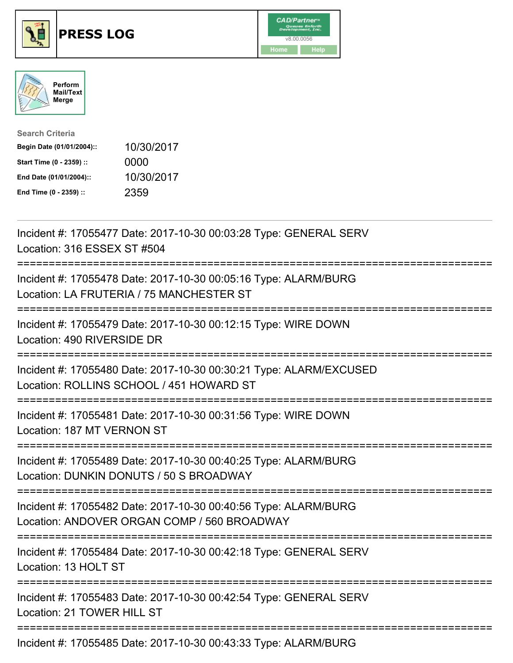





| <b>Search Criteria</b>    |            |
|---------------------------|------------|
| Begin Date (01/01/2004):: | 10/30/2017 |
| Start Time (0 - 2359) ::  | 0000       |
| End Date (01/01/2004)::   | 10/30/2017 |
| End Time (0 - 2359) ::    | 2359       |

| Incident #: 17055477 Date: 2017-10-30 00:03:28 Type: GENERAL SERV<br>Location: 316 ESSEX ST #504<br>.---------------------------------- |
|-----------------------------------------------------------------------------------------------------------------------------------------|
| Incident #: 17055478 Date: 2017-10-30 00:05:16 Type: ALARM/BURG<br>Location: LA FRUTERIA / 75 MANCHESTER ST                             |
| Incident #: 17055479 Date: 2017-10-30 00:12:15 Type: WIRE DOWN<br>Location: 490 RIVERSIDE DR                                            |
| Incident #: 17055480 Date: 2017-10-30 00:30:21 Type: ALARM/EXCUSED<br>Location: ROLLINS SCHOOL / 451 HOWARD ST                          |
| Incident #: 17055481 Date: 2017-10-30 00:31:56 Type: WIRE DOWN<br>Location: 187 MT VERNON ST<br>==========                              |
| Incident #: 17055489 Date: 2017-10-30 00:40:25 Type: ALARM/BURG<br>Location: DUNKIN DONUTS / 50 S BROADWAY                              |
| Incident #: 17055482 Date: 2017-10-30 00:40:56 Type: ALARM/BURG<br>Location: ANDOVER ORGAN COMP / 560 BROADWAY                          |
| Incident #: 17055484 Date: 2017-10-30 00:42:18 Type: GENERAL SERV<br>Location: 13 HOLT ST                                               |
| Incident #: 17055483 Date: 2017-10-30 00:42:54 Type: GENERAL SERV<br>Location: 21 TOWER HILL ST                                         |
| Incident #: 17055485 Date: 2017-10-30 00:43:33 Type: ALARM/BURG                                                                         |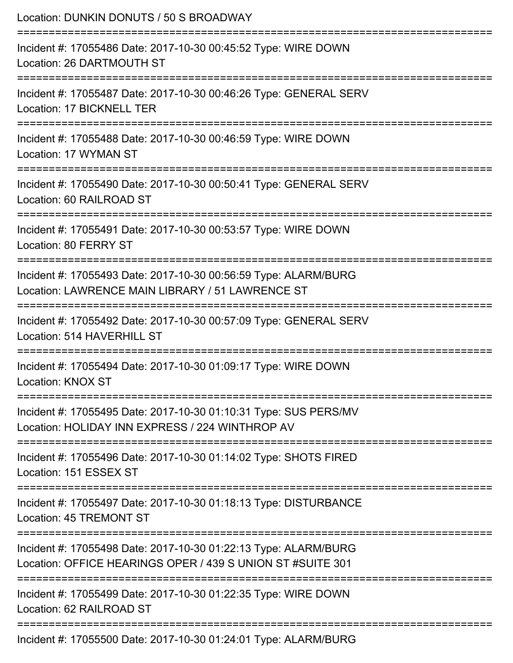| Location: DUNKIN DONUTS / 50 S BROADWAY                                                                                                      |
|----------------------------------------------------------------------------------------------------------------------------------------------|
| Incident #: 17055486 Date: 2017-10-30 00:45:52 Type: WIRE DOWN<br>Location: 26 DARTMOUTH ST                                                  |
| Incident #: 17055487 Date: 2017-10-30 00:46:26 Type: GENERAL SERV<br>Location: 17 BICKNELL TER                                               |
| Incident #: 17055488 Date: 2017-10-30 00:46:59 Type: WIRE DOWN<br>Location: 17 WYMAN ST                                                      |
| Incident #: 17055490 Date: 2017-10-30 00:50:41 Type: GENERAL SERV<br>Location: 60 RAILROAD ST                                                |
| Incident #: 17055491 Date: 2017-10-30 00:53:57 Type: WIRE DOWN<br>Location: 80 FERRY ST                                                      |
| Incident #: 17055493 Date: 2017-10-30 00:56:59 Type: ALARM/BURG<br>Location: LAWRENCE MAIN LIBRARY / 51 LAWRENCE ST<br>--------------------- |
| Incident #: 17055492 Date: 2017-10-30 00:57:09 Type: GENERAL SERV<br>Location: 514 HAVERHILL ST                                              |
| Incident #: 17055494 Date: 2017-10-30 01:09:17 Type: WIRE DOWN<br>Location: KNOX ST                                                          |
| Incident #: 17055495 Date: 2017-10-30 01:10:31 Type: SUS PERS/MV<br>Location: HOLIDAY INN EXPRESS / 224 WINTHROP AV                          |
| Incident #: 17055496 Date: 2017-10-30 01:14:02 Type: SHOTS FIRED<br>Location: 151 ESSEX ST                                                   |
| Incident #: 17055497 Date: 2017-10-30 01:18:13 Type: DISTURBANCE<br>Location: 45 TREMONT ST                                                  |
| Incident #: 17055498 Date: 2017-10-30 01:22:13 Type: ALARM/BURG<br>Location: OFFICE HEARINGS OPER / 439 S UNION ST #SUITE 301                |
| Incident #: 17055499 Date: 2017-10-30 01:22:35 Type: WIRE DOWN<br>Location: 62 RAILROAD ST                                                   |
|                                                                                                                                              |

Incident #: 17055500 Date: 2017-10-30 01:24:01 Type: ALARM/BURG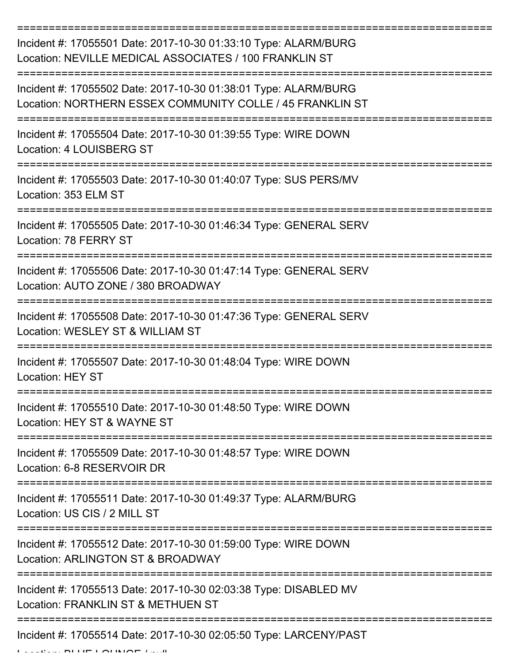| Incident #: 17055501 Date: 2017-10-30 01:33:10 Type: ALARM/BURG<br>Location: NEVILLE MEDICAL ASSOCIATES / 100 FRANKLIN ST    |
|------------------------------------------------------------------------------------------------------------------------------|
| Incident #: 17055502 Date: 2017-10-30 01:38:01 Type: ALARM/BURG<br>Location: NORTHERN ESSEX COMMUNITY COLLE / 45 FRANKLIN ST |
| Incident #: 17055504 Date: 2017-10-30 01:39:55 Type: WIRE DOWN<br><b>Location: 4 LOUISBERG ST</b>                            |
| Incident #: 17055503 Date: 2017-10-30 01:40:07 Type: SUS PERS/MV<br>Location: 353 ELM ST                                     |
| Incident #: 17055505 Date: 2017-10-30 01:46:34 Type: GENERAL SERV<br>Location: 78 FERRY ST                                   |
| Incident #: 17055506 Date: 2017-10-30 01:47:14 Type: GENERAL SERV<br>Location: AUTO ZONE / 380 BROADWAY                      |
| Incident #: 17055508 Date: 2017-10-30 01:47:36 Type: GENERAL SERV<br>Location: WESLEY ST & WILLIAM ST                        |
| Incident #: 17055507 Date: 2017-10-30 01:48:04 Type: WIRE DOWN<br><b>Location: HEY ST</b>                                    |
| Incident #: 17055510 Date: 2017-10-30 01:48:50 Type: WIRE DOWN<br>Location: HEY ST & WAYNE ST                                |
| Incident #: 17055509 Date: 2017-10-30 01:48:57 Type: WIRE DOWN<br>Location: 6-8 RESERVOIR DR                                 |
| Incident #: 17055511 Date: 2017-10-30 01:49:37 Type: ALARM/BURG<br>Location: US CIS / 2 MILL ST                              |
| Incident #: 17055512 Date: 2017-10-30 01:59:00 Type: WIRE DOWN<br>Location: ARLINGTON ST & BROADWAY                          |
| Incident #: 17055513 Date: 2017-10-30 02:03:38 Type: DISABLED MV<br>Location: FRANKLIN ST & METHUEN ST                       |
| Incident #: 17055514 Date: 2017-10-30 02:05:50 Type: LARCENY/PAST                                                            |

Location: BLUE LOUNGE / null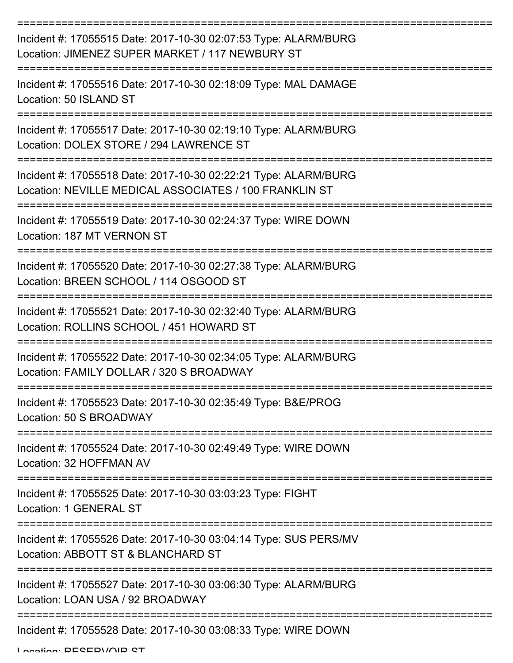| Incident #: 17055515 Date: 2017-10-30 02:07:53 Type: ALARM/BURG<br>Location: JIMENEZ SUPER MARKET / 117 NEWBURY ST        |
|---------------------------------------------------------------------------------------------------------------------------|
| Incident #: 17055516 Date: 2017-10-30 02:18:09 Type: MAL DAMAGE<br>Location: 50 ISLAND ST                                 |
| Incident #: 17055517 Date: 2017-10-30 02:19:10 Type: ALARM/BURG<br>Location: DOLEX STORE / 294 LAWRENCE ST                |
| Incident #: 17055518 Date: 2017-10-30 02:22:21 Type: ALARM/BURG<br>Location: NEVILLE MEDICAL ASSOCIATES / 100 FRANKLIN ST |
| Incident #: 17055519 Date: 2017-10-30 02:24:37 Type: WIRE DOWN<br>Location: 187 MT VERNON ST                              |
| Incident #: 17055520 Date: 2017-10-30 02:27:38 Type: ALARM/BURG<br>Location: BREEN SCHOOL / 114 OSGOOD ST                 |
| Incident #: 17055521 Date: 2017-10-30 02:32:40 Type: ALARM/BURG<br>Location: ROLLINS SCHOOL / 451 HOWARD ST               |
| Incident #: 17055522 Date: 2017-10-30 02:34:05 Type: ALARM/BURG<br>Location: FAMILY DOLLAR / 320 S BROADWAY               |
| Incident #: 17055523 Date: 2017-10-30 02:35:49 Type: B&E/PROG<br>Location: 50 S BROADWAY                                  |
| Incident #: 17055524 Date: 2017-10-30 02:49:49 Type: WIRE DOWN<br>Location: 32 HOFFMAN AV                                 |
| Incident #: 17055525 Date: 2017-10-30 03:03:23 Type: FIGHT<br>Location: 1 GENERAL ST                                      |
| Incident #: 17055526 Date: 2017-10-30 03:04:14 Type: SUS PERS/MV<br>Location: ABBOTT ST & BLANCHARD ST                    |
| Incident #: 17055527 Date: 2017-10-30 03:06:30 Type: ALARM/BURG<br>Location: LOAN USA / 92 BROADWAY                       |
| Incident #: 17055528 Date: 2017-10-30 03:08:33 Type: WIRE DOWN                                                            |

Location: DECEDVAID CT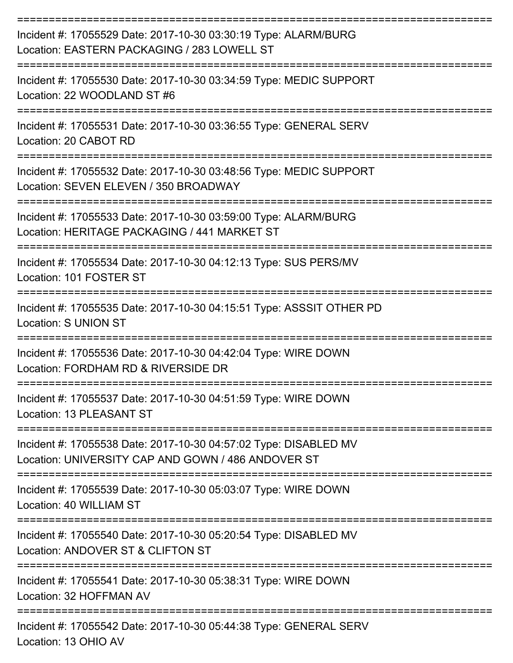| Incident #: 17055529 Date: 2017-10-30 03:30:19 Type: ALARM/BURG<br>Location: EASTERN PACKAGING / 283 LOWELL ST         |
|------------------------------------------------------------------------------------------------------------------------|
| Incident #: 17055530 Date: 2017-10-30 03:34:59 Type: MEDIC SUPPORT<br>Location: 22 WOODLAND ST #6                      |
| Incident #: 17055531 Date: 2017-10-30 03:36:55 Type: GENERAL SERV<br>Location: 20 CABOT RD                             |
| Incident #: 17055532 Date: 2017-10-30 03:48:56 Type: MEDIC SUPPORT<br>Location: SEVEN ELEVEN / 350 BROADWAY            |
| Incident #: 17055533 Date: 2017-10-30 03:59:00 Type: ALARM/BURG<br>Location: HERITAGE PACKAGING / 441 MARKET ST        |
| Incident #: 17055534 Date: 2017-10-30 04:12:13 Type: SUS PERS/MV<br>Location: 101 FOSTER ST                            |
| Incident #: 17055535 Date: 2017-10-30 04:15:51 Type: ASSSIT OTHER PD<br><b>Location: S UNION ST</b>                    |
| Incident #: 17055536 Date: 2017-10-30 04:42:04 Type: WIRE DOWN<br>Location: FORDHAM RD & RIVERSIDE DR                  |
| Incident #: 17055537 Date: 2017-10-30 04:51:59 Type: WIRE DOWN<br>Location: 13 PLEASANT ST                             |
| Incident #: 17055538 Date: 2017-10-30 04:57:02 Type: DISABLED MV<br>Location: UNIVERSITY CAP AND GOWN / 486 ANDOVER ST |
| Incident #: 17055539 Date: 2017-10-30 05:03:07 Type: WIRE DOWN<br>Location: 40 WILLIAM ST                              |
| Incident #: 17055540 Date: 2017-10-30 05:20:54 Type: DISABLED MV<br>Location: ANDOVER ST & CLIFTON ST                  |
| Incident #: 17055541 Date: 2017-10-30 05:38:31 Type: WIRE DOWN<br>Location: 32 HOFFMAN AV                              |
| Incident #: 17055542 Date: 2017-10-30 05:44:38 Type: GENERAL SERV<br>Location: 13 OHIO AV                              |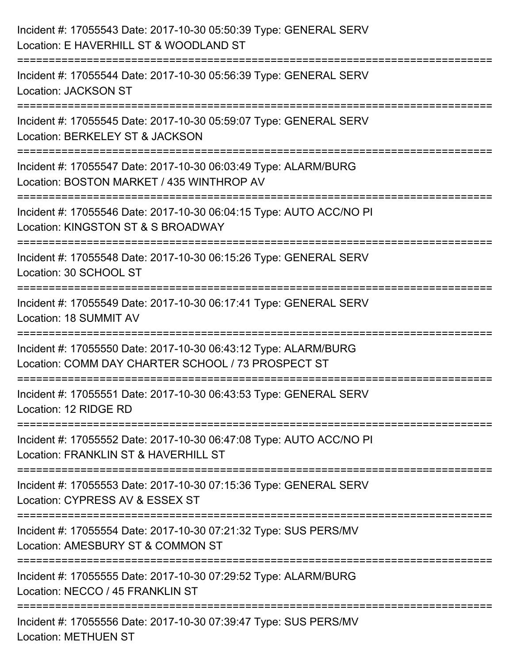| Incident #: 17055543 Date: 2017-10-30 05:50:39 Type: GENERAL SERV<br>Location: E HAVERHILL ST & WOODLAND ST                                       |
|---------------------------------------------------------------------------------------------------------------------------------------------------|
| Incident #: 17055544 Date: 2017-10-30 05:56:39 Type: GENERAL SERV<br><b>Location: JACKSON ST</b>                                                  |
| Incident #: 17055545 Date: 2017-10-30 05:59:07 Type: GENERAL SERV<br>Location: BERKELEY ST & JACKSON<br>====================                      |
| ============<br>=================<br>Incident #: 17055547 Date: 2017-10-30 06:03:49 Type: ALARM/BURG<br>Location: BOSTON MARKET / 435 WINTHROP AV |
| :=================================<br>Incident #: 17055546 Date: 2017-10-30 06:04:15 Type: AUTO ACC/NO PI<br>Location: KINGSTON ST & S BROADWAY   |
| Incident #: 17055548 Date: 2017-10-30 06:15:26 Type: GENERAL SERV<br>Location: 30 SCHOOL ST                                                       |
| Incident #: 17055549 Date: 2017-10-30 06:17:41 Type: GENERAL SERV<br>Location: 18 SUMMIT AV                                                       |
| Incident #: 17055550 Date: 2017-10-30 06:43:12 Type: ALARM/BURG<br>Location: COMM DAY CHARTER SCHOOL / 73 PROSPECT ST                             |
| Incident #: 17055551 Date: 2017-10-30 06:43:53 Type: GENERAL SERV<br>Location: 12 RIDGE RD                                                        |
| Incident #: 17055552 Date: 2017-10-30 06:47:08 Type: AUTO ACC/NO PI<br>Location: FRANKLIN ST & HAVERHILL ST                                       |
| Incident #: 17055553 Date: 2017-10-30 07:15:36 Type: GENERAL SERV<br>Location: CYPRESS AV & ESSEX ST                                              |
| Incident #: 17055554 Date: 2017-10-30 07:21:32 Type: SUS PERS/MV<br>Location: AMESBURY ST & COMMON ST                                             |
| Incident #: 17055555 Date: 2017-10-30 07:29:52 Type: ALARM/BURG<br>Location: NECCO / 45 FRANKLIN ST                                               |
| Incident #: 17055556 Date: 2017-10-30 07:39:47 Type: SUS PERS/MV<br><b>Location: METHUEN ST</b>                                                   |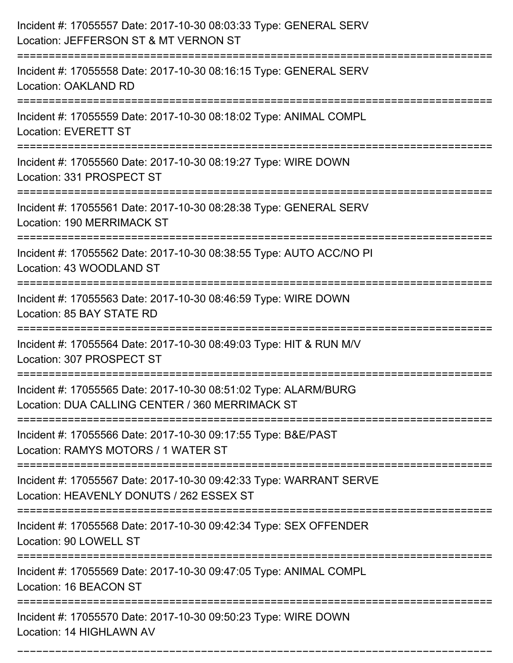| Incident #: 17055557 Date: 2017-10-30 08:03:33 Type: GENERAL SERV<br>Location: JEFFERSON ST & MT VERNON ST                                   |
|----------------------------------------------------------------------------------------------------------------------------------------------|
| Incident #: 17055558 Date: 2017-10-30 08:16:15 Type: GENERAL SERV<br>Location: OAKLAND RD                                                    |
| Incident #: 17055559 Date: 2017-10-30 08:18:02 Type: ANIMAL COMPL<br><b>Location: EVERETT ST</b>                                             |
| Incident #: 17055560 Date: 2017-10-30 08:19:27 Type: WIRE DOWN<br>Location: 331 PROSPECT ST                                                  |
| Incident #: 17055561 Date: 2017-10-30 08:28:38 Type: GENERAL SERV<br>Location: 190 MERRIMACK ST<br>:======================                   |
| Incident #: 17055562 Date: 2017-10-30 08:38:55 Type: AUTO ACC/NO PI<br>Location: 43 WOODLAND ST                                              |
| Incident #: 17055563 Date: 2017-10-30 08:46:59 Type: WIRE DOWN<br>Location: 85 BAY STATE RD                                                  |
| Incident #: 17055564 Date: 2017-10-30 08:49:03 Type: HIT & RUN M/V<br>Location: 307 PROSPECT ST                                              |
| Incident #: 17055565 Date: 2017-10-30 08:51:02 Type: ALARM/BURG<br>Location: DUA CALLING CENTER / 360 MERRIMACK ST                           |
| Incident #: 17055566 Date: 2017-10-30 09:17:55 Type: B&E/PAST<br>Location: RAMYS MOTORS / 1 WATER ST<br>==================================== |
| Incident #: 17055567 Date: 2017-10-30 09:42:33 Type: WARRANT SERVE<br>Location: HEAVENLY DONUTS / 262 ESSEX ST                               |
| Incident #: 17055568 Date: 2017-10-30 09:42:34 Type: SEX OFFENDER<br>Location: 90 LOWELL ST                                                  |
| Incident #: 17055569 Date: 2017-10-30 09:47:05 Type: ANIMAL COMPL<br>Location: 16 BEACON ST                                                  |
| Incident #: 17055570 Date: 2017-10-30 09:50:23 Type: WIRE DOWN<br>Location: 14 HIGHLAWN AV                                                   |

===========================================================================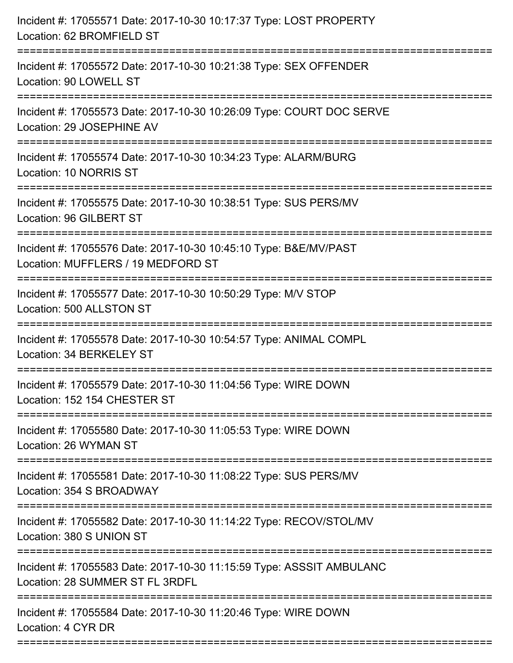| Incident #: 17055571 Date: 2017-10-30 10:17:37 Type: LOST PROPERTY<br>Location: 62 BROMFIELD ST                                                                                |
|--------------------------------------------------------------------------------------------------------------------------------------------------------------------------------|
| Incident #: 17055572 Date: 2017-10-30 10:21:38 Type: SEX OFFENDER<br>Location: 90 LOWELL ST                                                                                    |
| Incident #: 17055573 Date: 2017-10-30 10:26:09 Type: COURT DOC SERVE<br>Location: 29 JOSEPHINE AV<br>=====================================<br>================================ |
| Incident #: 17055574 Date: 2017-10-30 10:34:23 Type: ALARM/BURG<br>Location: 10 NORRIS ST                                                                                      |
| Incident #: 17055575 Date: 2017-10-30 10:38:51 Type: SUS PERS/MV<br>Location: 96 GILBERT ST<br>=================                                                               |
| Incident #: 17055576 Date: 2017-10-30 10:45:10 Type: B&E/MV/PAST<br>Location: MUFFLERS / 19 MEDFORD ST<br>=============================                                        |
| Incident #: 17055577 Date: 2017-10-30 10:50:29 Type: M/V STOP<br>Location: 500 ALLSTON ST                                                                                      |
| Incident #: 17055578 Date: 2017-10-30 10:54:57 Type: ANIMAL COMPL<br>Location: 34 BERKELEY ST                                                                                  |
| Incident #: 17055579 Date: 2017-10-30 11:04:56 Type: WIRE DOWN<br>Location: 152 154 CHESTER ST                                                                                 |
| Incident #: 17055580 Date: 2017-10-30 11:05:53 Type: WIRE DOWN<br>Location: 26 WYMAN ST                                                                                        |
| Incident #: 17055581 Date: 2017-10-30 11:08:22 Type: SUS PERS/MV<br>Location: 354 S BROADWAY                                                                                   |
| Incident #: 17055582 Date: 2017-10-30 11:14:22 Type: RECOV/STOL/MV<br>Location: 380 S UNION ST                                                                                 |
| Incident #: 17055583 Date: 2017-10-30 11:15:59 Type: ASSSIT AMBULANC<br>Location: 28 SUMMER ST FL 3RDFL                                                                        |
| Incident #: 17055584 Date: 2017-10-30 11:20:46 Type: WIRE DOWN<br>Location: 4 CYR DR                                                                                           |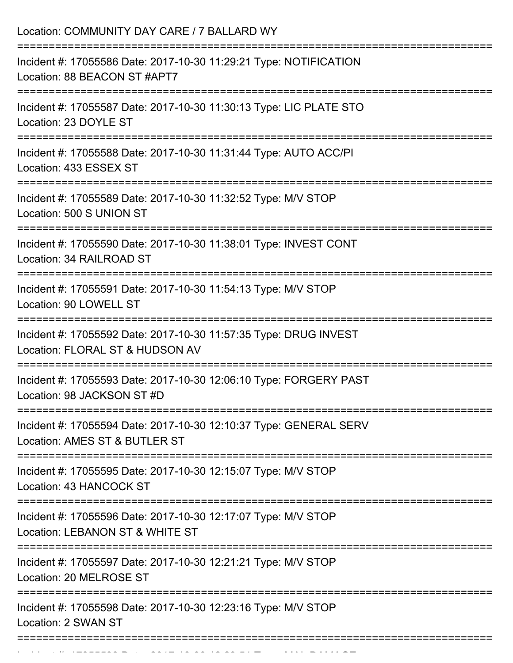Incident #: 17055599 Date: 2017 10 30 12:23:51 Type: MAL DAMAGE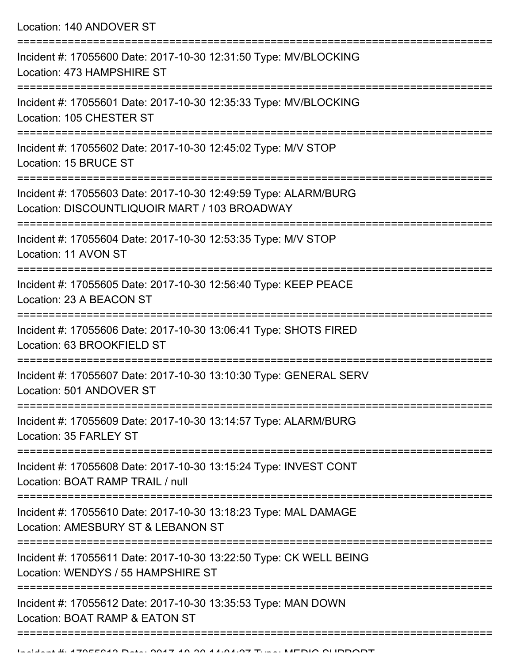Location: 140 ANDOVER ST

| Incident #: 17055600 Date: 2017-10-30 12:31:50 Type: MV/BLOCKING<br>Location: 473 HAMPSHIRE ST                   |
|------------------------------------------------------------------------------------------------------------------|
| Incident #: 17055601 Date: 2017-10-30 12:35:33 Type: MV/BLOCKING<br>Location: 105 CHESTER ST                     |
| Incident #: 17055602 Date: 2017-10-30 12:45:02 Type: M/V STOP<br>Location: 15 BRUCE ST                           |
| Incident #: 17055603 Date: 2017-10-30 12:49:59 Type: ALARM/BURG<br>Location: DISCOUNTLIQUOIR MART / 103 BROADWAY |
| Incident #: 17055604 Date: 2017-10-30 12:53:35 Type: M/V STOP<br>Location: 11 AVON ST                            |
| Incident #: 17055605 Date: 2017-10-30 12:56:40 Type: KEEP PEACE<br>Location: 23 A BEACON ST                      |
| Incident #: 17055606 Date: 2017-10-30 13:06:41 Type: SHOTS FIRED<br>Location: 63 BROOKFIELD ST                   |
| Incident #: 17055607 Date: 2017-10-30 13:10:30 Type: GENERAL SERV<br>Location: 501 ANDOVER ST                    |
| Incident #: 17055609 Date: 2017-10-30 13:14:57 Type: ALARM/BURG<br>Location: 35 FARLEY ST<br>----------------    |
| Incident #: 17055608 Date: 2017-10-30 13:15:24 Type: INVEST CONT<br>Location: BOAT RAMP TRAIL / null             |
| Incident #: 17055610 Date: 2017-10-30 13:18:23 Type: MAL DAMAGE<br>Location: AMESBURY ST & LEBANON ST            |
| Incident #: 17055611 Date: 2017-10-30 13:22:50 Type: CK WELL BEING<br>Location: WENDYS / 55 HAMPSHIRE ST         |
| Incident #: 17055612 Date: 2017-10-30 13:35:53 Type: MAN DOWN<br>Location: BOAT RAMP & EATON ST                  |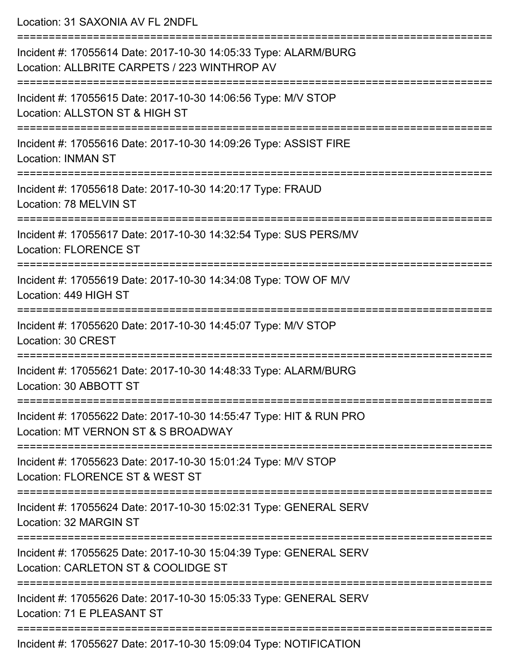Location: 31 SAXONIA AV FL 2NDFL

| Incident #: 17055614 Date: 2017-10-30 14:05:33 Type: ALARM/BURG<br>Location: ALLBRITE CARPETS / 223 WINTHROP AV |
|-----------------------------------------------------------------------------------------------------------------|
| Incident #: 17055615 Date: 2017-10-30 14:06:56 Type: M/V STOP<br>Location: ALLSTON ST & HIGH ST                 |
| Incident #: 17055616 Date: 2017-10-30 14:09:26 Type: ASSIST FIRE<br><b>Location: INMAN ST</b>                   |
| Incident #: 17055618 Date: 2017-10-30 14:20:17 Type: FRAUD<br>Location: 78 MELVIN ST                            |
| Incident #: 17055617 Date: 2017-10-30 14:32:54 Type: SUS PERS/MV<br><b>Location: FLORENCE ST</b>                |
| Incident #: 17055619 Date: 2017-10-30 14:34:08 Type: TOW OF M/V<br>Location: 449 HIGH ST                        |
| Incident #: 17055620 Date: 2017-10-30 14:45:07 Type: M/V STOP<br>Location: 30 CREST                             |
| Incident #: 17055621 Date: 2017-10-30 14:48:33 Type: ALARM/BURG<br>Location: 30 ABBOTT ST                       |
| Incident #: 17055622 Date: 2017-10-30 14:55:47 Type: HIT & RUN PRO<br>Location: MT VERNON ST & S BROADWAY       |
| Incident #: 17055623 Date: 2017-10-30 15:01:24 Type: M/V STOP<br>Location: FLORENCE ST & WEST ST                |
| Incident #: 17055624 Date: 2017-10-30 15:02:31 Type: GENERAL SERV<br>Location: 32 MARGIN ST                     |
| Incident #: 17055625 Date: 2017-10-30 15:04:39 Type: GENERAL SERV<br>Location: CARLETON ST & COOLIDGE ST        |
| Incident #: 17055626 Date: 2017-10-30 15:05:33 Type: GENERAL SERV<br>Location: 71 E PLEASANT ST                 |
| $\cdots$ $\sim$ $\cdots$ $\sim$ $\cdots$ $\sim$                                                                 |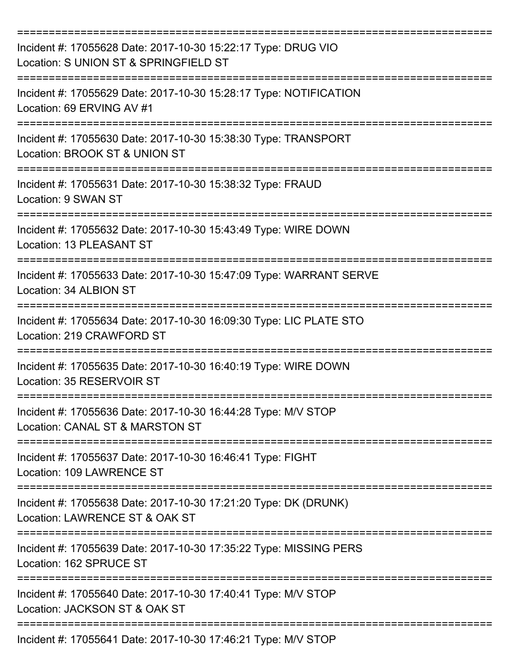| Incident #: 17055628 Date: 2017-10-30 15:22:17 Type: DRUG VIO<br>Location: S UNION ST & SPRINGFIELD ST        |
|---------------------------------------------------------------------------------------------------------------|
| Incident #: 17055629 Date: 2017-10-30 15:28:17 Type: NOTIFICATION<br>Location: 69 ERVING AV #1                |
| Incident #: 17055630 Date: 2017-10-30 15:38:30 Type: TRANSPORT<br>Location: BROOK ST & UNION ST               |
| Incident #: 17055631 Date: 2017-10-30 15:38:32 Type: FRAUD<br>Location: 9 SWAN ST                             |
| Incident #: 17055632 Date: 2017-10-30 15:43:49 Type: WIRE DOWN<br>Location: 13 PLEASANT ST                    |
| Incident #: 17055633 Date: 2017-10-30 15:47:09 Type: WARRANT SERVE<br>Location: 34 ALBION ST                  |
| Incident #: 17055634 Date: 2017-10-30 16:09:30 Type: LIC PLATE STO<br>Location: 219 CRAWFORD ST<br>========== |
| Incident #: 17055635 Date: 2017-10-30 16:40:19 Type: WIRE DOWN<br>Location: 35 RESERVOIR ST                   |
| Incident #: 17055636 Date: 2017-10-30 16:44:28 Type: M/V STOP<br>Location: CANAL ST & MARSTON ST              |
| Incident #: 17055637 Date: 2017-10-30 16:46:41 Type: FIGHT<br>Location: 109 LAWRENCE ST                       |
| Incident #: 17055638 Date: 2017-10-30 17:21:20 Type: DK (DRUNK)<br>Location: LAWRENCE ST & OAK ST             |
| Incident #: 17055639 Date: 2017-10-30 17:35:22 Type: MISSING PERS<br>Location: 162 SPRUCE ST                  |
| Incident #: 17055640 Date: 2017-10-30 17:40:41 Type: M/V STOP<br>Location: JACKSON ST & OAK ST                |
| Incident #: 17055641 Date: 2017-10-30 17:46:21 Type: M/V STOP                                                 |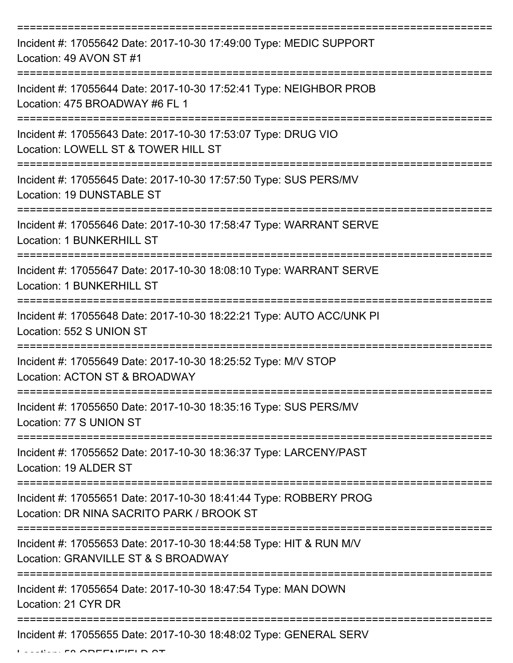| Incident #: 17055642 Date: 2017-10-30 17:49:00 Type: MEDIC SUPPORT<br>Location: 49 AVON ST #1                    |
|------------------------------------------------------------------------------------------------------------------|
| Incident #: 17055644 Date: 2017-10-30 17:52:41 Type: NEIGHBOR PROB<br>Location: 475 BROADWAY #6 FL 1             |
| Incident #: 17055643 Date: 2017-10-30 17:53:07 Type: DRUG VIO<br>Location: LOWELL ST & TOWER HILL ST             |
| Incident #: 17055645 Date: 2017-10-30 17:57:50 Type: SUS PERS/MV<br>Location: 19 DUNSTABLE ST                    |
| Incident #: 17055646 Date: 2017-10-30 17:58:47 Type: WARRANT SERVE<br><b>Location: 1 BUNKERHILL ST</b>           |
| Incident #: 17055647 Date: 2017-10-30 18:08:10 Type: WARRANT SERVE<br><b>Location: 1 BUNKERHILL ST</b>           |
| Incident #: 17055648 Date: 2017-10-30 18:22:21 Type: AUTO ACC/UNK PI<br>Location: 552 S UNION ST<br>============ |
| Incident #: 17055649 Date: 2017-10-30 18:25:52 Type: M/V STOP<br>Location: ACTON ST & BROADWAY                   |
| Incident #: 17055650 Date: 2017-10-30 18:35:16 Type: SUS PERS/MV<br>Location: 77 S UNION ST                      |
| Incident #: 17055652 Date: 2017-10-30 18:36:37 Type: LARCENY/PAST<br>Location: 19 ALDER ST                       |
| Incident #: 17055651 Date: 2017-10-30 18:41:44 Type: ROBBERY PROG<br>Location: DR NINA SACRITO PARK / BROOK ST   |
| Incident #: 17055653 Date: 2017-10-30 18:44:58 Type: HIT & RUN M/V<br>Location: GRANVILLE ST & S BROADWAY        |
| Incident #: 17055654 Date: 2017-10-30 18:47:54 Type: MAN DOWN<br>Location: 21 CYR DR                             |
| Incident #: 17055655 Date: 2017-10-30 18:48:02 Type: GENERAL SERV                                                |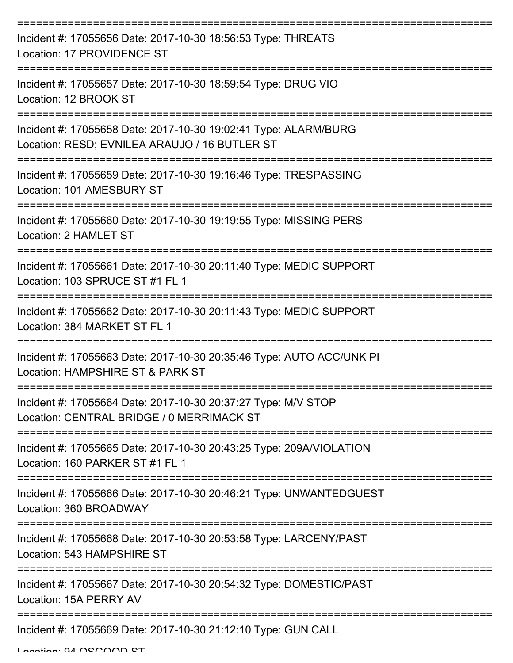| Incident #: 17055656 Date: 2017-10-30 18:56:53 Type: THREATS<br>Location: 17 PROVIDENCE ST                              |
|-------------------------------------------------------------------------------------------------------------------------|
| Incident #: 17055657 Date: 2017-10-30 18:59:54 Type: DRUG VIO<br>Location: 12 BROOK ST                                  |
| Incident #: 17055658 Date: 2017-10-30 19:02:41 Type: ALARM/BURG<br>Location: RESD; EVNILEA ARAUJO / 16 BUTLER ST        |
| Incident #: 17055659 Date: 2017-10-30 19:16:46 Type: TRESPASSING<br>Location: 101 AMESBURY ST                           |
| Incident #: 17055660 Date: 2017-10-30 19:19:55 Type: MISSING PERS<br>Location: 2 HAMLET ST                              |
| Incident #: 17055661 Date: 2017-10-30 20:11:40 Type: MEDIC SUPPORT<br>Location: 103 SPRUCE ST #1 FL 1<br>:============= |
| Incident #: 17055662 Date: 2017-10-30 20:11:43 Type: MEDIC SUPPORT<br>Location: 384 MARKET ST FL 1                      |
| Incident #: 17055663 Date: 2017-10-30 20:35:46 Type: AUTO ACC/UNK PI<br>Location: HAMPSHIRE ST & PARK ST                |
| Incident #: 17055664 Date: 2017-10-30 20:37:27 Type: M/V STOP<br>Location: CENTRAL BRIDGE / 0 MERRIMACK ST              |
| Incident #: 17055665 Date: 2017-10-30 20:43:25 Type: 209A/VIOLATION<br>Location: 160 PARKER ST #1 FL 1                  |
| Incident #: 17055666 Date: 2017-10-30 20:46:21 Type: UNWANTEDGUEST<br>Location: 360 BROADWAY                            |
| Incident #: 17055668 Date: 2017-10-30 20:53:58 Type: LARCENY/PAST<br>Location: 543 HAMPSHIRE ST                         |
| Incident #: 17055667 Date: 2017-10-30 20:54:32 Type: DOMESTIC/PAST<br>Location: 15A PERRY AV                            |
| Incident #: 17055669 Date: 2017-10-30 21:12:10 Type: GUN CALL                                                           |

Location: 94 OSGOOD ST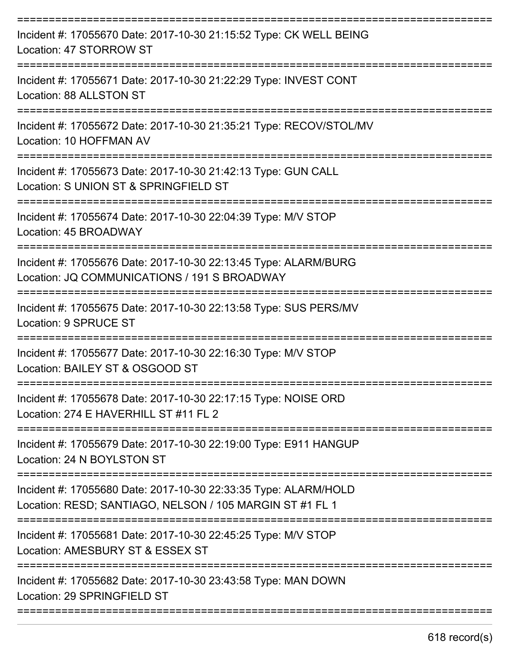| Incident #: 17055670 Date: 2017-10-30 21:15:52 Type: CK WELL BEING<br>Location: 47 STORROW ST                                          |
|----------------------------------------------------------------------------------------------------------------------------------------|
| Incident #: 17055671 Date: 2017-10-30 21:22:29 Type: INVEST CONT<br>Location: 88 ALLSTON ST                                            |
| Incident #: 17055672 Date: 2017-10-30 21:35:21 Type: RECOV/STOL/MV<br>Location: 10 HOFFMAN AV                                          |
| Incident #: 17055673 Date: 2017-10-30 21:42:13 Type: GUN CALL<br>Location: S UNION ST & SPRINGFIELD ST                                 |
| Incident #: 17055674 Date: 2017-10-30 22:04:39 Type: M/V STOP<br>Location: 45 BROADWAY                                                 |
| Incident #: 17055676 Date: 2017-10-30 22:13:45 Type: ALARM/BURG<br>Location: JQ COMMUNICATIONS / 191 S BROADWAY                        |
| Incident #: 17055675 Date: 2017-10-30 22:13:58 Type: SUS PERS/MV<br><b>Location: 9 SPRUCE ST</b>                                       |
| Incident #: 17055677 Date: 2017-10-30 22:16:30 Type: M/V STOP<br>Location: BAILEY ST & OSGOOD ST                                       |
| Incident #: 17055678 Date: 2017-10-30 22:17:15 Type: NOISE ORD<br>Location: 274 E HAVERHILL ST #11 FL 2                                |
| Incident #: 17055679 Date: 2017-10-30 22:19:00 Type: E911 HANGUP<br>Location: 24 N BOYLSTON ST                                         |
| Incident #: 17055680 Date: 2017-10-30 22:33:35 Type: ALARM/HOLD<br>Location: RESD; SANTIAGO, NELSON / 105 MARGIN ST #1 FL 1            |
| :================================<br>Incident #: 17055681 Date: 2017-10-30 22:45:25 Type: M/V STOP<br>Location: AMESBURY ST & ESSEX ST |
| Incident #: 17055682 Date: 2017-10-30 23:43:58 Type: MAN DOWN<br>Location: 29 SPRINGFIELD ST                                           |
|                                                                                                                                        |